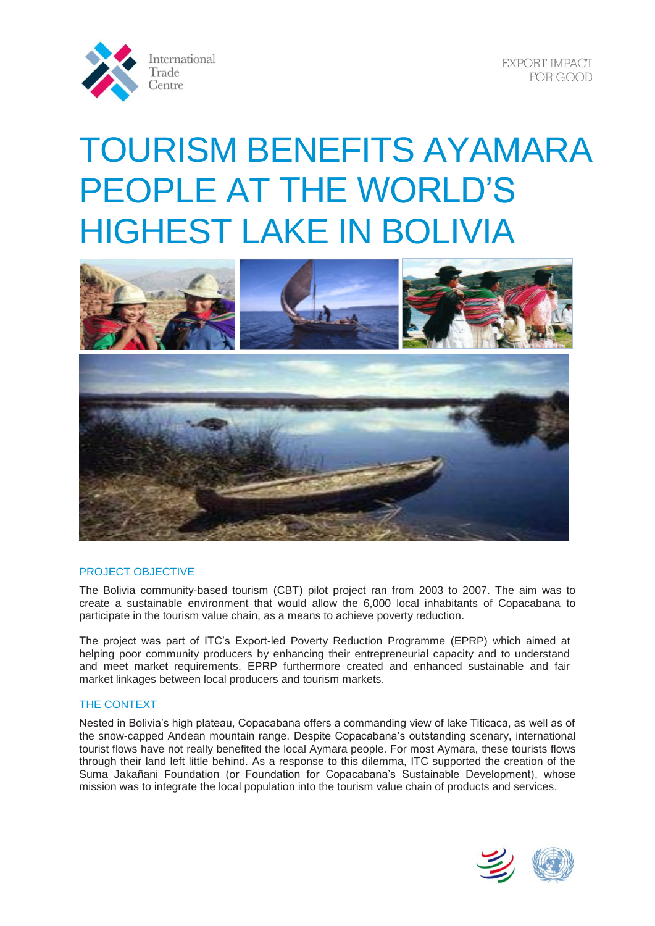

**EXPORT IMPACT** FOR GOOD

# TOURISM BENEFITS AYAMARA PEOPLE AT THE WORLD'S HIGHEST LAKE IN BOLIVIA





## PROJECT OBJECTIVE

The Bolivia community-based tourism (CBT) pilot project ran from 2003 to 2007. The aim was to create a sustainable environment that would allow the 6,000 local inhabitants of Copacabana to participate in the tourism value chain, as a means to achieve poverty reduction.

The project was part of ITC's Export-led Poverty Reduction Programme (EPRP) which aimed at helping poor community producers by enhancing their entrepreneurial capacity and to understand and meet market requirements. EPRP furthermore created and enhanced sustainable and fair market linkages between local producers and tourism markets.

## THE CONTEXT

Nested in Bolivia's high plateau, Copacabana offers a commanding view of lake Titicaca, as well as of the snow-capped Andean mountain range. Despite Copacabana's outstanding scenary, international tourist flows have not really benefited the local Aymara people. For most Aymara, these tourists flows through their land left little behind. As a response to this dilemma, ITC supported the creation of the Suma Jakañani Foundation (or Foundation for Copacabana's Sustainable Development), whose mission was to integrate the local population into the tourism value chain of products and services.